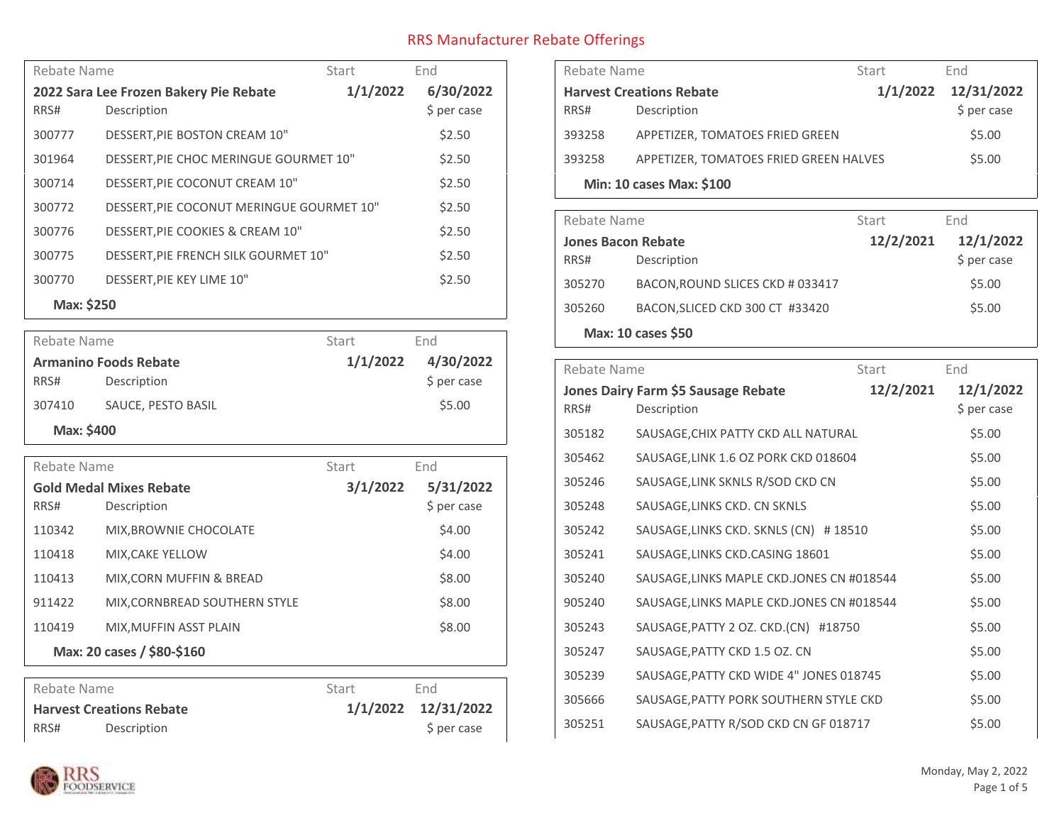| Rebate Name<br>Start                                |                                                       | End      |                          |
|-----------------------------------------------------|-------------------------------------------------------|----------|--------------------------|
| RRS#                                                | 2022 Sara Lee Frozen Bakery Pie Rebate<br>Description | 1/1/2022 | 6/30/2022<br>\$ per case |
| 300777                                              | DESSERT, PIE BOSTON CREAM 10"                         |          | \$2.50                   |
| 301964                                              | DESSERT, PIE CHOC MERINGUE GOURMET 10"                |          | \$2.50                   |
| 300714                                              | DESSERT, PIE COCONUT CREAM 10"                        |          | \$2.50                   |
| DESSERT, PIE COCONUT MERINGUE GOURMET 10"<br>300772 |                                                       | \$2.50   |                          |
| 300776                                              | DESSERT, PIE COOKIES & CREAM 10"                      |          | \$2.50                   |
| 300775                                              | DESSERT, PIE FRENCH SILK GOURMET 10"                  |          | \$2.50                   |
| 300770                                              | DESSERT, PIE KEY LIME 10"                             |          | \$2.50                   |
| Max: \$250                                          |                                                       |          |                          |

| Rebate Name |                              | Start    | End.         |
|-------------|------------------------------|----------|--------------|
|             | <b>Armanino Foods Rebate</b> | 1/1/2022 | 4/30/2022    |
| RRS#        | Description                  |          | $$$ per case |
| 307410      | SAUCE, PESTO BASIL           |          | \$5.00       |
| Max: \$400  |                              |          |              |

| Rebate Name                    |                               | Start    | End         |
|--------------------------------|-------------------------------|----------|-------------|
| <b>Gold Medal Mixes Rebate</b> |                               | 3/1/2022 | 5/31/2022   |
| RRS#                           | Description                   |          | \$ per case |
| 110342                         | MIX, BROWNIE CHOCOLATE        |          | \$4.00      |
| 110418                         | MIX, CAKE YELLOW              |          | \$4.00      |
| 110413                         | MIX, CORN MUFFIN & BREAD      |          | \$8.00      |
| 911422                         | MIX, CORNBREAD SOUTHERN STYLE |          | \$8.00      |
| 110419                         | MIX, MUFFIN ASST PLAIN        |          | \$8.00      |
| Max: 20 cases / \$80-\$160     |                               |          |             |
|                                |                               |          |             |

| Rebate Name |                                 | Start | End                 |
|-------------|---------------------------------|-------|---------------------|
|             | <b>Harvest Creations Rebate</b> |       | 1/1/2022 12/31/2022 |
| RRS#        | Description                     |       | \$ per case         |

| Rebate Name              |                                        | Start | End                 |
|--------------------------|----------------------------------------|-------|---------------------|
|                          | <b>Harvest Creations Rebate</b>        |       | 1/1/2022 12/31/2022 |
| RRS#                     | Description                            |       | \$ per case         |
| 393258                   | APPETIZER, TOMATOES FRIED GREEN        |       | \$5.00              |
| 393258                   | APPETIZER, TOMATOES FRIED GREEN HALVES |       | \$5.00              |
| Min: 10 cases Max: \$100 |                                        |       |                     |

| Rebate Name               |                                  | Start     | End          |
|---------------------------|----------------------------------|-----------|--------------|
| <b>Jones Bacon Rebate</b> |                                  | 12/2/2021 | 12/1/2022    |
| RRS#                      | Description                      |           | $$$ per case |
| 305270                    | BACON, ROUND SLICES CKD # 033417 |           | \$5.00       |
| 305260                    | BACON, SLICED CKD 300 CT #33420  |           | \$5.00       |
| Max: 10 cases \$50        |                                  |           |              |

| Rebate Name |                                                    | Start     | End                      |
|-------------|----------------------------------------------------|-----------|--------------------------|
| RRS#        | Jones Dairy Farm \$5 Sausage Rebate<br>Description | 12/2/2021 | 12/1/2022<br>\$ per case |
| 305182      | SAUSAGE, CHIX PATTY CKD ALL NATURAL                |           | \$5.00                   |
| 305462      | SAUSAGE, LINK 1.6 OZ PORK CKD 018604               |           | \$5.00                   |
| 305246      | SAUSAGE, LINK SKNLS R/SOD CKD CN                   |           | \$5.00                   |
| 305248      | SAUSAGE, LINKS CKD. CN SKNLS                       |           | \$5.00                   |
| 305242      | SAUSAGE, LINKS CKD. SKNLS (CN) #18510              |           | \$5.00                   |
| 305241      | SAUSAGE, LINKS CKD. CASING 18601                   |           | \$5.00                   |
| 305240      | SAUSAGE, LINKS MAPLE CKD.JONES CN #018544          |           | \$5.00                   |
| 905240      | SAUSAGE, LINKS MAPLE CKD.JONES CN #018544          |           | \$5.00                   |
| 305243      | SAUSAGE, PATTY 2 OZ. CKD. (CN) #18750              |           | \$5.00                   |
| 305247      | SAUSAGE, PATTY CKD 1.5 OZ. CN                      |           | \$5.00                   |
| 305239      | SAUSAGE, PATTY CKD WIDE 4" JONES 018745            |           | \$5.00                   |
| 305666      | SAUSAGE, PATTY PORK SOUTHERN STYLE CKD             |           | \$5.00                   |
| 305251      | SAUSAGE, PATTY R/SOD CKD CN GF 018717              |           | \$5.00                   |

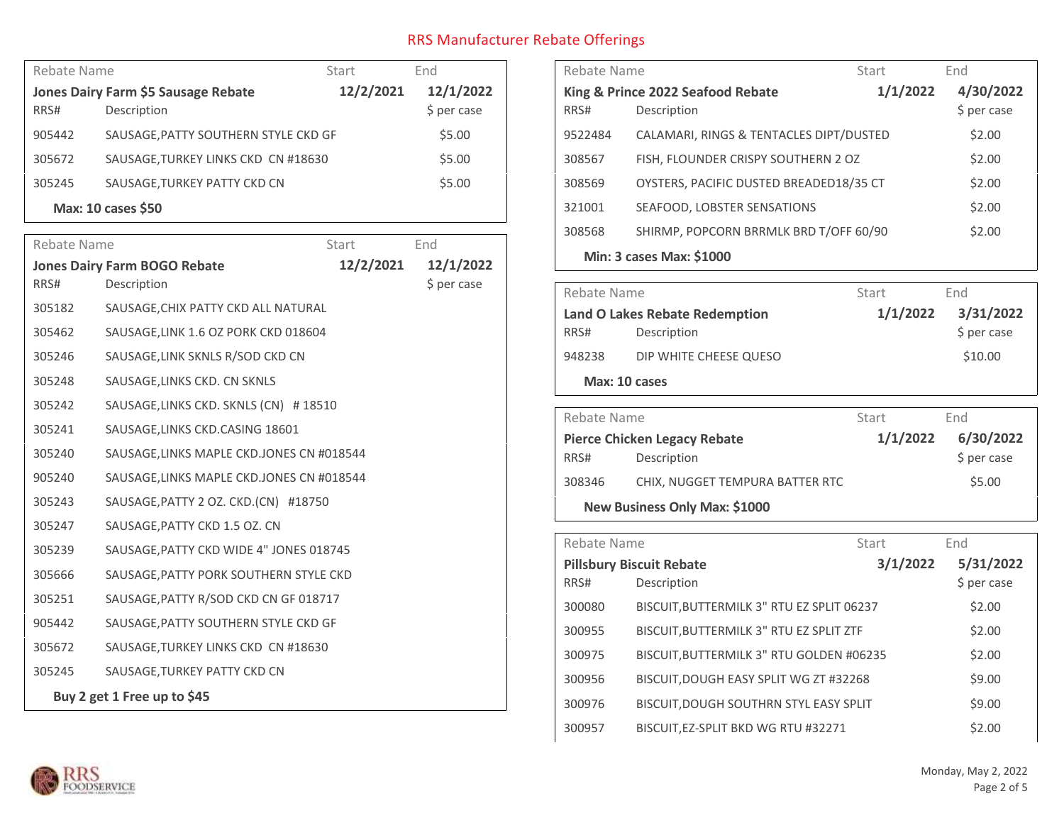| Rebate Name        |                                                    | Start     | End                      |
|--------------------|----------------------------------------------------|-----------|--------------------------|
| RRS#               | Jones Dairy Farm \$5 Sausage Rebate<br>Description | 12/2/2021 | 12/1/2022<br>\$ per case |
| 905442             | SAUSAGE, PATTY SOUTHERN STYLE CKD GF               |           | \$5.00                   |
| 305672             | SAUSAGE, TURKEY LINKS CKD CN #18630                |           | \$5.00                   |
| 305245             | SAUSAGE, TURKEY PATTY CKD CN                       |           | \$5.00                   |
| Max: 10 cases \$50 |                                                    |           |                          |

| Rebate Name |                                           | <b>Start</b> | End         |
|-------------|-------------------------------------------|--------------|-------------|
|             | <b>Jones Dairy Farm BOGO Rebate</b>       | 12/2/2021    | 12/1/2022   |
| RRS#        | Description                               |              | \$ per case |
| 305182      | SAUSAGE, CHIX PATTY CKD ALL NATURAL       |              |             |
| 305462      | SAUSAGE, LINK 1.6 OZ PORK CKD 018604      |              |             |
| 305246      | SAUSAGE, LINK SKNLS R/SOD CKD CN          |              |             |
| 305248      | SAUSAGE, LINKS CKD. CN SKNLS              |              |             |
| 305242      | SAUSAGE, LINKS CKD. SKNLS (CN) #18510     |              |             |
| 305241      | SAUSAGE, LINKS CKD. CASING 18601          |              |             |
| 305240      | SAUSAGE, LINKS MAPLE CKD.JONES CN #018544 |              |             |
| 905240      | SAUSAGE, LINKS MAPLE CKD.JONES CN #018544 |              |             |
| 305243      | SAUSAGE, PATTY 2 OZ. CKD. (CN) #18750     |              |             |
| 305247      | SAUSAGE, PATTY CKD 1.5 OZ. CN             |              |             |
| 305239      | SAUSAGE, PATTY CKD WIDE 4" JONES 018745   |              |             |
| 305666      | SAUSAGE, PATTY PORK SOUTHERN STYLE CKD    |              |             |
| 305251      | SAUSAGE, PATTY R/SOD CKD CN GF 018717     |              |             |
| 905442      | SAUSAGE, PATTY SOUTHERN STYLE CKD GF      |              |             |
| 305672      | SAUSAGE, TURKEY LINKS CKD CN #18630       |              |             |
| 305245      | SAUSAGE, TURKEY PATTY CKD CN              |              |             |
|             | Buy 2 get 1 Free up to \$45               |              |             |

| Rebate Name                                       |                                         | Start     | End         |
|---------------------------------------------------|-----------------------------------------|-----------|-------------|
| 1/1/2022<br>King & Prince 2022 Seafood Rebate     |                                         | 4/30/2022 |             |
| RRS#                                              | Description                             |           | \$ per case |
| 9522484                                           | CALAMARI, RINGS & TENTACLES DIPT/DUSTED |           | \$2.00      |
| 308567                                            | FISH, FLOUNDER CRISPY SOUTHERN 2 OZ     |           | \$2.00      |
| OYSTERS, PACIFIC DUSTED BREADED18/35 CT<br>308569 |                                         | \$2.00    |             |
| 321001                                            | SEAFOOD, LOBSTER SENSATIONS             |           | \$2.00      |
| SHIRMP, POPCORN BRRMLK BRD T/OFF 60/90<br>308568  |                                         | \$2.00    |             |
| Min: 3 cases Max: \$1000                          |                                         |           |             |

| Rebate Name   |                                       | Start    | End          |
|---------------|---------------------------------------|----------|--------------|
|               | <b>Land O Lakes Rebate Redemption</b> | 1/1/2022 | 3/31/2022    |
| RRS#          | Description                           |          | $$$ per case |
| 948238        | DIP WHITE CHEESE QUESO                |          | \$10.00      |
| Max: 10 cases |                                       |          |              |

| Rebate Name                         |                                 | Start    | End         |
|-------------------------------------|---------------------------------|----------|-------------|
| <b>Pierce Chicken Legacy Rebate</b> |                                 | 1/1/2022 | 6/30/2022   |
| RRS#                                | Description                     |          | \$ per case |
| 308346                              | CHIX, NUGGET TEMPURA BATTER RTC |          | \$5.00      |
| New Business Only Max: \$1000       |                                 |          |             |

| Rebate Name                                 |                                           | Start                                   | End         |
|---------------------------------------------|-------------------------------------------|-----------------------------------------|-------------|
| 3/1/2022<br><b>Pillsbury Biscuit Rebate</b> |                                           | 5/31/2022                               |             |
| RRS#                                        | Description                               |                                         | \$ per case |
| 300080                                      | BISCUIT, BUTTERMILK 3" RTU EZ SPLIT 06237 |                                         | \$2.00      |
| 300955                                      |                                           | BISCUIT, BUTTERMILK 3" RTU EZ SPLIT ZTF |             |
| 300975                                      | BISCUIT, BUTTERMILK 3" RTU GOLDEN #06235  |                                         | \$2.00      |
| 300956                                      | BISCUIT, DOUGH EASY SPLIT WG ZT #32268    |                                         | \$9.00      |
| 300976                                      | BISCUIT, DOUGH SOUTHRN STYL EASY SPLIT    |                                         | \$9.00      |
| 300957                                      | BISCUIT, EZ-SPLIT BKD WG RTU #32271       |                                         | \$2.00      |

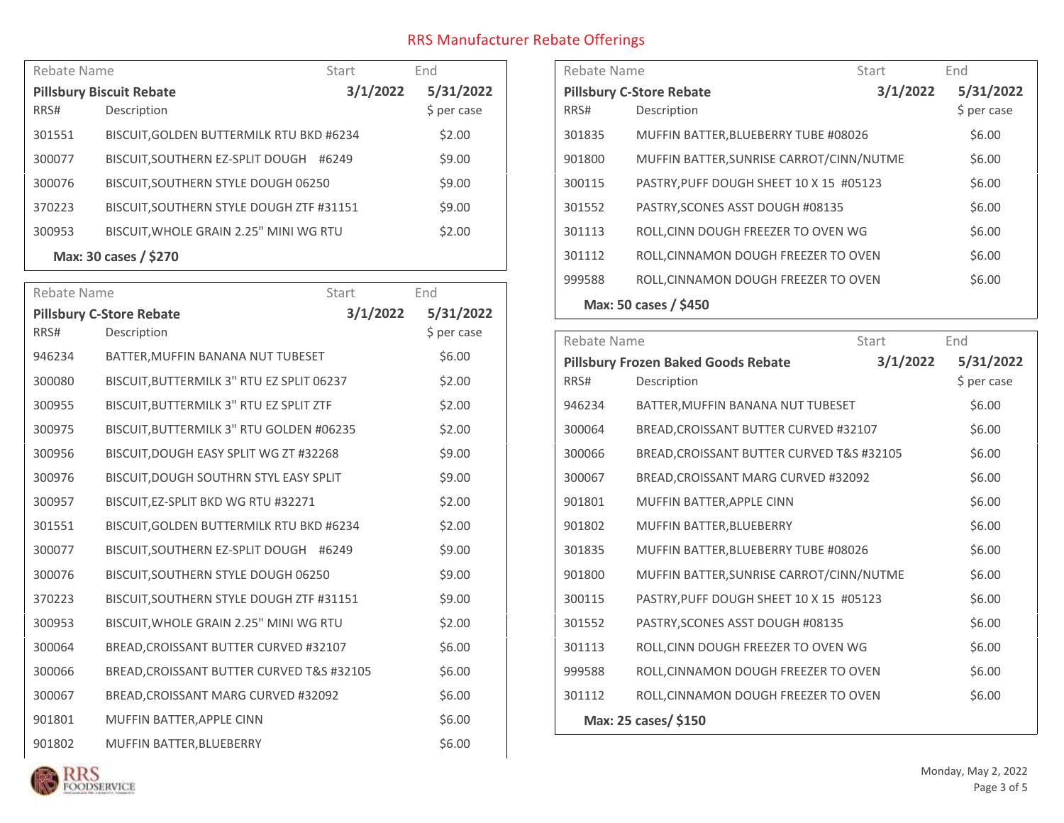| Rebate Name           |                                          | Start    | End         |
|-----------------------|------------------------------------------|----------|-------------|
|                       | <b>Pillsbury Biscuit Rebate</b>          | 3/1/2022 | 5/31/2022   |
| RRS#                  | Description                              |          | \$ per case |
| 301551                | BISCUIT, GOLDEN BUTTERMILK RTU BKD #6234 |          | \$2.00      |
| 300077                | BISCUIT, SOUTHERN EZ-SPLIT DOUGH         | #6249    | \$9.00      |
| 300076                | BISCUIT, SOUTHERN STYLE DOUGH 06250      |          | \$9.00      |
| 370223                | BISCUIT, SOUTHERN STYLE DOUGH ZTF #31151 |          | \$9.00      |
| 300953                | BISCUIT, WHOLE GRAIN 2.25" MINI WG RTU   |          | \$2.00      |
| Max: 30 cases / \$270 |                                          |          |             |

| Rebate Name |                                           | Start    | End         |
|-------------|-------------------------------------------|----------|-------------|
|             | <b>Pillsbury C-Store Rebate</b>           | 3/1/2022 | 5/31/2022   |
| RRS#        | Description                               |          | \$ per case |
| 946234      | BATTER, MUFFIN BANANA NUT TUBESET         |          | \$6.00      |
| 300080      | BISCUIT, BUTTERMILK 3" RTU EZ SPLIT 06237 |          | \$2.00      |
| 300955      | BISCUIT, BUTTERMILK 3" RTU EZ SPLIT ZTF   |          | \$2.00      |
| 300975      | BISCUIT, BUTTERMILK 3" RTU GOLDEN #06235  |          | \$2.00      |
| 300956      | BISCUIT, DOUGH EASY SPLIT WG ZT #32268    |          | \$9.00      |
| 300976      | BISCUIT, DOUGH SOUTHRN STYL EASY SPLIT    |          | \$9.00      |
| 300957      | BISCUIT, EZ-SPLIT BKD WG RTU #32271       |          | \$2.00      |
| 301551      | BISCUIT, GOLDEN BUTTERMILK RTU BKD #6234  |          | \$2.00      |
| 300077      | BISCUIT, SOUTHERN EZ-SPLIT DOUGH #6249    |          | \$9.00      |
| 300076      | BISCUIT, SOUTHERN STYLE DOUGH 06250       |          | \$9.00      |
| 370223      | BISCUIT, SOUTHERN STYLE DOUGH ZTF #31151  |          | \$9.00      |
| 300953      | BISCUIT, WHOLE GRAIN 2.25" MINI WG RTU    |          | \$2.00      |
| 300064      | BREAD, CROISSANT BUTTER CURVED #32107     |          | \$6.00      |
| 300066      | BREAD, CROISSANT BUTTER CURVED T&S #32105 |          | \$6.00      |
| 300067      | BREAD, CROISSANT MARG CURVED #32092       |          | \$6.00      |
| 901801      | MUFFIN BATTER, APPLE CINN                 |          | \$6.00      |
| 901802      | MUFFIN BATTER, BLUEBERRY                  |          | \$6.00      |

| Rebate Name           |                                          | Start | End         |
|-----------------------|------------------------------------------|-------|-------------|
|                       | <b>Pillsbury C-Store Rebate</b>          |       | 5/31/2022   |
| RRS#                  | Description                              |       | \$ per case |
| 301835                | MUFFIN BATTER, BLUEBERRY TUBE #08026     |       | \$6.00      |
| 901800                | MUFFIN BATTER, SUNRISE CARROT/CINN/NUTME |       | \$6.00      |
| 300115                | PASTRY, PUFF DOUGH SHEET 10 X 15 #05123  |       | \$6.00      |
| 301552                | PASTRY, SCONES ASST DOUGH #08135         |       | \$6.00      |
| 301113                | ROLL, CINN DOUGH FREEZER TO OVEN WG      |       | \$6.00      |
| 301112                | ROLL, CINNAMON DOUGH FREEZER TO OVEN     |       | \$6.00      |
| 999588                | ROLL, CINNAMON DOUGH FREEZER TO OVEN     |       | \$6.00      |
| Max: 50 cases / \$450 |                                          |       |             |

| Rebate Name          |                                            | Start    | End         |
|----------------------|--------------------------------------------|----------|-------------|
|                      | <b>Pillsbury Frozen Baked Goods Rebate</b> | 3/1/2022 | 5/31/2022   |
| RRS#                 | Description                                |          | \$ per case |
| 946234               | BATTER, MUFFIN BANANA NUT TUBESET          |          | \$6.00      |
| 300064               | BREAD, CROISSANT BUTTER CURVED #32107      |          | \$6.00      |
| 300066               | BREAD, CROISSANT BUTTER CURVED T&S #32105  |          | \$6.00      |
| 300067               | BREAD, CROISSANT MARG CURVED #32092        |          | \$6.00      |
| 901801               | MUFFIN BATTER, APPLE CINN                  |          | \$6.00      |
| 901802               | MUFFIN BATTER, BLUEBERRY                   |          | \$6.00      |
| 301835               | MUFFIN BATTER, BLUEBERRY TUBE #08026       |          | \$6.00      |
| 901800               | MUFFIN BATTER, SUNRISE CARROT/CINN/NUTME   |          | \$6.00      |
| 300115               | PASTRY, PUFF DOUGH SHEET 10 X 15 #05123    |          | \$6.00      |
| 301552               | PASTRY, SCONES ASST DOUGH #08135           |          | \$6.00      |
| 301113               | ROLL, CINN DOUGH FREEZER TO OVEN WG        |          | \$6.00      |
| 999588               | ROLL, CINNAMON DOUGH FREEZER TO OVEN       |          | \$6.00      |
| 301112               | ROLL, CINNAMON DOUGH FREEZER TO OVEN       |          | \$6.00      |
| Max: 25 cases/ \$150 |                                            |          |             |

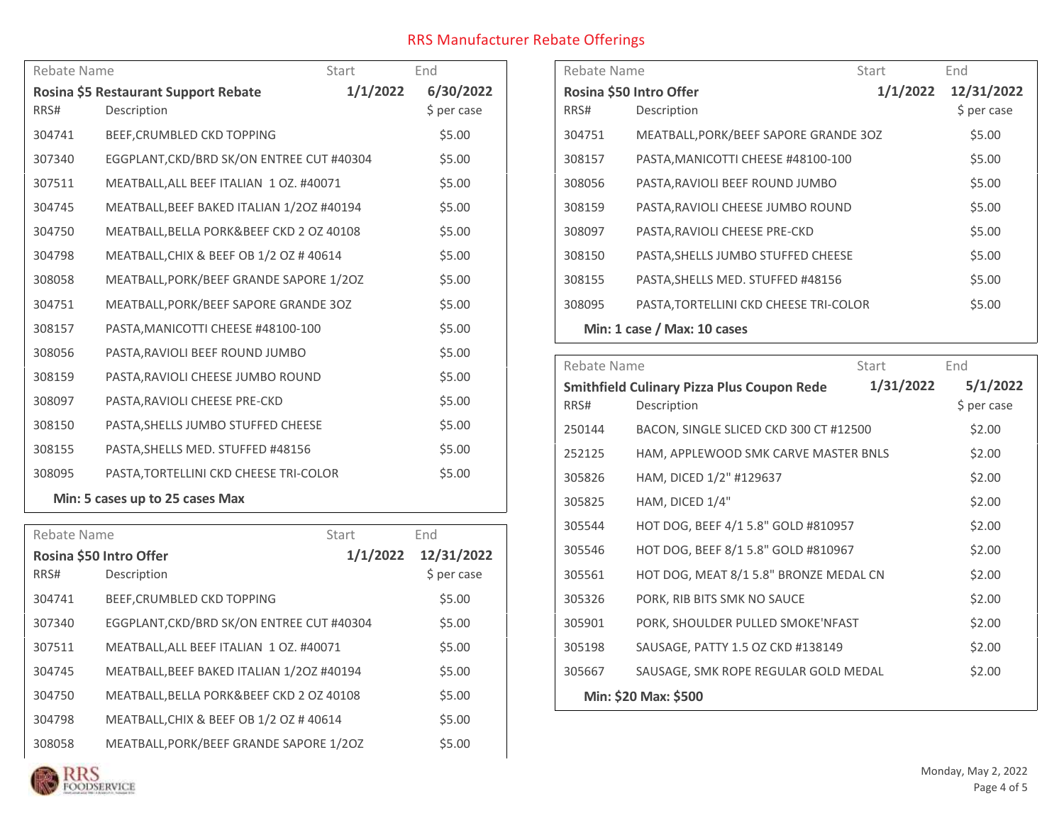| Rebate Name |                                           | Start    | End         |
|-------------|-------------------------------------------|----------|-------------|
|             | Rosina \$5 Restaurant Support Rebate      | 1/1/2022 | 6/30/2022   |
| RRS#        | Description                               |          | \$ per case |
| 304741      | BEEF, CRUMBLED CKD TOPPING                |          | \$5.00      |
| 307340      | EGGPLANT, CKD/BRD SK/ON ENTREE CUT #40304 |          | \$5.00      |
| 307511      | MEATBALL, ALL BEEF ITALIAN 1 OZ. #40071   |          | \$5.00      |
| 304745      | MEATBALL, BEEF BAKED ITALIAN 1/20Z #40194 |          | \$5.00      |
| 304750      | MEATBALL, BELLA PORK&BEEF CKD 2 OZ 40108  |          | \$5.00      |
| 304798      | MEATBALL, CHIX & BEEF OB 1/2 OZ #40614    |          | \$5.00      |
| 308058      | MEATBALL, PORK/BEEF GRANDE SAPORE 1/20Z   |          | \$5.00      |
| 304751      | MEATBALL, PORK/BEEF SAPORE GRANDE 30Z     |          | \$5.00      |
| 308157      | PASTA, MANICOTTI CHEESE #48100-100        |          | \$5.00      |
| 308056      | PASTA, RAVIOLI BEEF ROUND JUMBO           |          | \$5.00      |
| 308159      | PASTA, RAVIOLI CHEESE JUMBO ROUND         |          | \$5.00      |
| 308097      | PASTA, RAVIOLI CHEESE PRE-CKD             |          | \$5.00      |
| 308150      | PASTA, SHELLS JUMBO STUFFED CHEESE        |          | \$5.00      |
| 308155      | PASTA, SHELLS MED. STUFFED #48156         |          | \$5.00      |
| 308095      | PASTA, TORTELLINI CKD CHEESE TRI-COLOR    |          | \$5.00      |
|             | Min: 5 cases up to 25 cases Max           |          |             |

| Rebate Name<br>Start                |                                          | End                                       |             |
|-------------------------------------|------------------------------------------|-------------------------------------------|-------------|
| 1/1/2022<br>Rosina \$50 Intro Offer |                                          | 12/31/2022                                |             |
| RRS#                                | Description                              |                                           | \$ per case |
| 304741                              | BEEF, CRUMBLED CKD TOPPING               |                                           | \$5.00      |
| 307340                              | EGGPLANT.CKD/BRD SK/ON ENTREE CUT #40304 |                                           | \$5.00      |
| 307511                              |                                          | MEATBALL, ALL BEEF ITALIAN 1 OZ. #40071   |             |
| 304745                              |                                          | MEATBALL, BEEF BAKED ITALIAN 1/202 #40194 |             |
| 304750                              | MEATBALL, BELLA PORK&BEEF CKD 2 OZ 40108 |                                           | \$5.00      |
| 304798                              | MEATBALL, CHIX & BEEF OB 1/2 OZ #40614   |                                           | \$5.00      |
| 308058                              | MEATBALL, PORK/BEEF GRANDE SAPORE 1/20Z  |                                           | \$5.00      |

| Rebate Name                 |                                        | Start    | End         |
|-----------------------------|----------------------------------------|----------|-------------|
|                             | Rosina \$50 Intro Offer                | 1/1/2022 | 12/31/2022  |
| RRS#                        | Description                            |          | \$ per case |
| 304751                      | MEATBALL, PORK/BEEF SAPORE GRANDE 30Z  |          | \$5.00      |
| 308157                      | PASTA, MANICOTTI CHEESE #48100-100     |          | \$5.00      |
| 308056                      | PASTA, RAVIOLI BEEF ROUND JUMBO        |          | \$5.00      |
| 308159                      | PASTA, RAVIOLI CHEESE JUMBO ROUND      |          | \$5.00      |
| 308097                      | PASTA, RAVIOLI CHEESE PRE-CKD          |          | \$5.00      |
| 308150                      | PASTA, SHELLS JUMBO STUFFED CHEESE     |          | \$5.00      |
| 308155                      | PASTA, SHELLS MED. STUFFED #48156      |          | \$5.00      |
| 308095                      | PASTA, TORTELLINI CKD CHEESE TRI-COLOR |          | \$5.00      |
| Min: 1 case / Max: 10 cases |                                        |          |             |

| Rebate Name<br>Start |                                                   | End       |             |
|----------------------|---------------------------------------------------|-----------|-------------|
|                      | <b>Smithfield Culinary Pizza Plus Coupon Rede</b> | 1/31/2022 | 5/1/2022    |
| RRS#                 | Description                                       |           | \$ per case |
| 250144               | BACON, SINGLE SLICED CKD 300 CT #12500            |           | \$2.00      |
| 252125               | HAM, APPLEWOOD SMK CARVE MASTER BNLS              |           | \$2.00      |
| 305826               | HAM, DICED 1/2" #129637                           |           | \$2.00      |
| 305825               | HAM, DICED 1/4"                                   |           | \$2.00      |
| 305544               | HOT DOG, BEEF 4/1 5.8" GOLD #810957               |           | \$2.00      |
| 305546               | HOT DOG, BEEF 8/1 5.8" GOLD #810967               |           | \$2.00      |
| 305561               | HOT DOG, MEAT 8/1 5.8" BRONZE MEDAL CN            |           | \$2.00      |
| 305326               | PORK, RIB BITS SMK NO SAUCE                       |           | \$2.00      |
| 305901               | PORK, SHOULDER PULLED SMOKE'NFAST                 |           | \$2.00      |
| 305198               | SAUSAGE, PATTY 1.5 OZ CKD #138149                 |           | \$2.00      |
| 305667               | SAUSAGE, SMK ROPE REGULAR GOLD MEDAL              |           | \$2.00      |
| Min: \$20 Max: \$500 |                                                   |           |             |